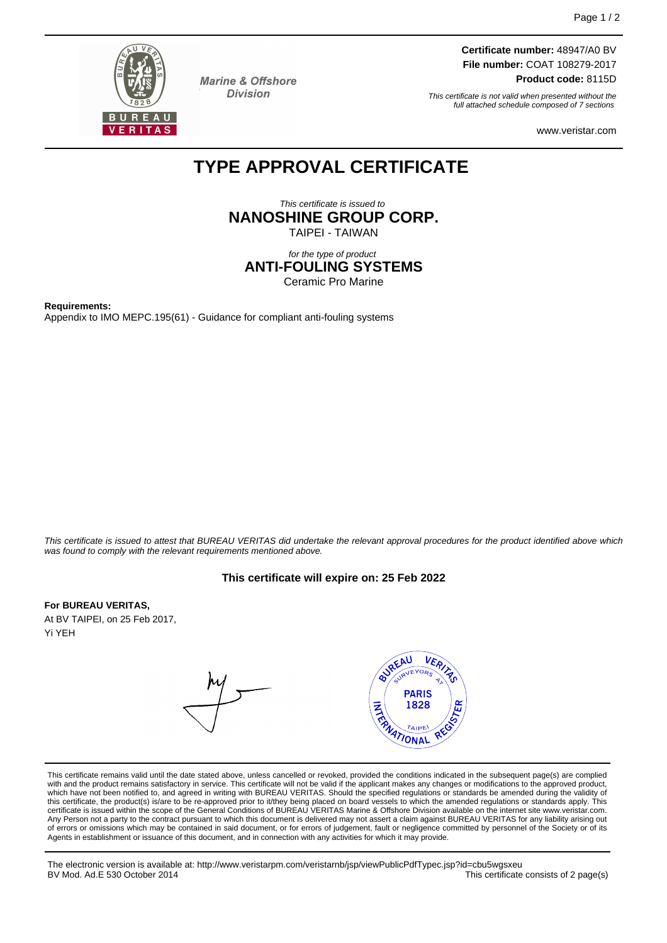

**Marine & Offshore Division** 

**Certificate number:** 48947/A0 BV **File number:** COAT 108279-2017 **Product code:** 8115D

This certificate is not valid when presented without the full attached schedule composed of 7 sections

www.veristar.com

# **TYPE APPROVAL CERTIFICATE**

This certificate is issued to **NANOSHINE GROUP CORP.**

TAIPEI - TAIWAN

for the type of product **ANTI-FOULING SYSTEMS** Ceramic Pro Marine

**Requirements:** Appendix to IMO MEPC.195(61) - Guidance for compliant anti-fouling systems

This certificate is issued to attest that BUREAU VERITAS did undertake the relevant approval procedures for the product identified above which was found to comply with the relevant requirements mentioned above.

# **This certificate will expire on: 25 Feb 2022**

#### **For BUREAU VERITAS,**

At BV TAIPEI, on 25 Feb 2017, Yi YEH

**BUREAU** VER, URVEYORS **PARIS**  $\frac{1}{\sqrt{2}}$ 1828 TAIPE **ATIONAL** 

This certificate remains valid until the date stated above, unless cancelled or revoked, provided the conditions indicated in the subsequent page(s) are complied with and the product remains satisfactory in service. This certificate will not be valid if the applicant makes any changes or modifications to the approved product, which have not been notified to, and agreed in writing with BUREAU VERITAS. Should the specified regulations or standards be amended during the validity of<br>this certificate, the product(s) is/are to be re-approved prior to certificate is issued within the scope of the General Conditions of BUREAU VERITAS Marine & Offshore Division available on the internet site www.veristar.com. Any Person not a party to the contract pursuant to which this document is delivered may not assert a claim against BUREAU VERITAS for any liability arising out of errors or omissions which may be contained in said document, or for errors of judgement, fault or negligence committed by personnel of the Society or of its<br>Agents in establishment or issuance of this document, and in c

The electronic version is available at: http://www.veristarpm.com/veristarnb/jsp/viewPublicPdfTypec.jsp?id=cbu5wgsxeu BV Mod. Ad.E 530 October 2014 This certificate consists of 2 page(s)